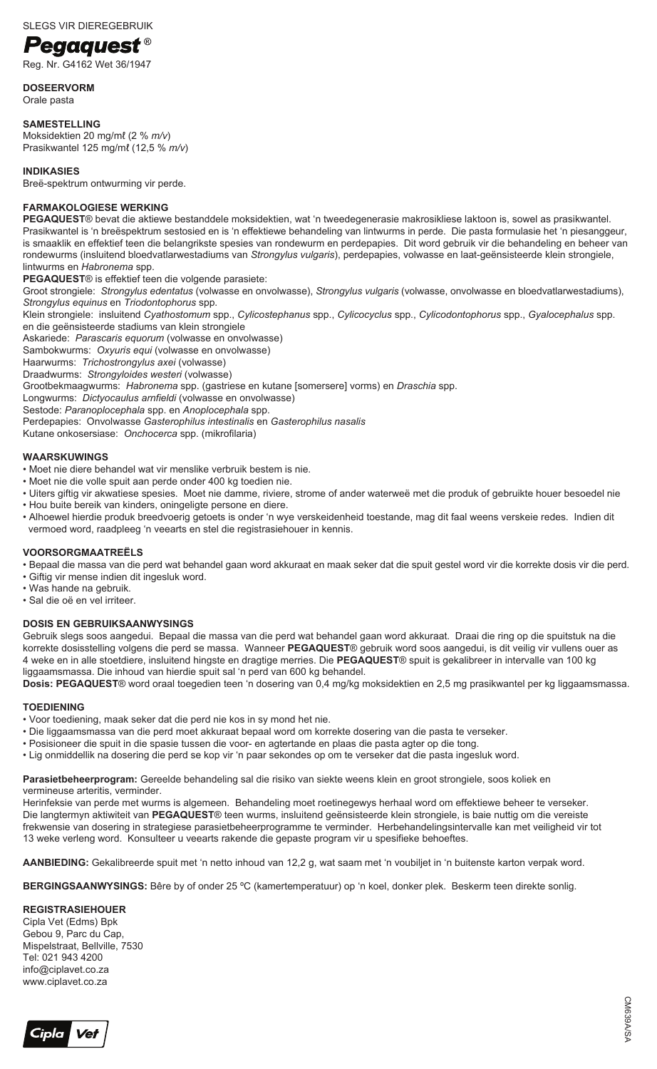# **Pegaguest**®

Reg. Nr. G4162 Wet 36/1947

**DOSEERVORM** 

Orale pasta

**SAMESTELLING** Moksidektien 20 mg/mℓ (2 % *m/v*) Prasikwantel 125 mg/mℓ (12,5 % *m/v*)

### **INDIKASIES**

Breë-spektrum ontwurming vir perde.

### **FARMAKOLOGIESE WERKING**

**PEGAQUEST**® bevat die aktiewe bestanddele moksidektien, wat 'n tweedegenerasie makrosikliese laktoon is, sowel as prasikwantel. Prasikwantel is 'n breëspektrum sestosied en is 'n effektiewe behandeling van lintwurms in perde. Die pasta formulasie het 'n piesanggeur, is smaaklik en effektief teen die belangrikste spesies van rondewurm en perdepapies. Dit word gebruik vir die behandeling en beheer van rondewurms (insluitend bloedvatlarwestadiums van *Strongylus vulgaris*), perdepapies, volwasse en laat-geënsisteerde klein strongiele, lintwurms en *Habronema* spp.

**PEGAQUEST**® is effektief teen die volgende parasiete:

Groot strongiele: *Strongylus edentatus* (volwasse en onvolwasse), *Strongylus vulgaris* (volwasse, onvolwasse en bloedvatlarwestadiums), *Strongylus equinus* en *Triodontophorus* spp.

Klein strongiele: insluitend *Cyathostomum* spp., *Cylicostephanus* spp., *Cylicocyclus* spp., *Cylicodontophorus* spp., *Gyalocephalus* spp. en die geënsisteerde stadiums van klein strongiele

Askariede: *Parascaris equorum* (volwasse en onvolwasse)

Sambokwurms: *Oxyuris equi* (volwasse en onvolwasse)

Haarwurms: *Trichostrongylus axei* (volwasse)

Draadwurms: *Strongyloides westeri* (volwasse)

Grootbekmaagwurms: *Habronema* spp. (gastriese en kutane [somersere] vorms) en *Draschia* spp.

Longwurms: *Dictyocaulus arnfieldi* (volwasse en onvolwasse)

Sestode: *Paranoplocephala* spp. en *Anoplocephala* spp.

Perdepapies: Onvolwasse *Gasterophilus intestinalis* en *Gasterophilus nasalis*

Kutane onkosersiase: *Onchocerca* spp. (mikrofilaria)

### **WAARSKUWINGS**

• Moet nie diere behandel wat vir menslike verbruik bestem is nie.

- Moet nie die volle spuit aan perde onder 400 kg toedien nie.
- Uiters giftig vir akwatiese spesies. Moet nie damme, riviere, strome of ander waterweë met die produk of gebruikte houer besoedel nie • Hou buite bereik van kinders, oningeligte persone en diere.
- Alhoewel hierdie produk breedvoerig getoets is onder 'n wye verskeidenheid toestande, mag dit faal weens verskeie redes. Indien dit vermoed word, raadpleeg 'n veearts en stel die registrasiehouer in kennis.

### **VOORSORGMAATREËLS**

• Bepaal die massa van die perd wat behandel gaan word akkuraat en maak seker dat die spuit gestel word vir die korrekte dosis vir die perd.

- Giftig vir mense indien dit ingesluk word.
- Was hande na gebruik.
- Sal die oë en vel irriteer.

### **DOSIS EN GEBRUIKSAANWYSINGS**

Gebruik slegs soos aangedui. Bepaal die massa van die perd wat behandel gaan word akkuraat. Draai die ring op die spuitstuk na die korrekte dosisstelling volgens die perd se massa. Wanneer **PEGAQUEST**® gebruik word soos aangedui, is dit veilig vir vullens ouer as 4 weke en in alle stoetdiere, insluitend hingste en dragtige merries. Die **PEGAQUEST**® spuit is gekalibreer in intervalle van 100 kg liggaamsmassa. Die inhoud van hierdie spuit sal 'n perd van 600 kg behandel.

**Dosis: PEGAQUEST**® word oraal toegedien teen 'n dosering van 0,4 mg/kg moksidektien en 2,5 mg prasikwantel per kg liggaamsmassa.

# **TOEDIENING**

- Voor toediening, maak seker dat die perd nie kos in sy mond het nie.
- Die liggaamsmassa van die perd moet akkuraat bepaal word om korrekte dosering van die pasta te verseker.
- Posisioneer die spuit in die spasie tussen die voor- en agtertande en plaas die pasta agter op die tong.
- Lig onmiddellik na dosering die perd se kop vir 'n paar sekondes op om te verseker dat die pasta ingesluk word.

**Parasietbeheerprogram:** Gereelde behandeling sal die risiko van siekte weens klein en groot strongiele, soos koliek en vermineuse arteritis, verminder.

Herinfeksie van perde met wurms is algemeen. Behandeling moet roetinegewys herhaal word om effektiewe beheer te verseker. Die langtermyn aktiwiteit van **PEGAQUEST**® teen wurms, insluitend geënsisteerde klein strongiele, is baie nuttig om die vereiste frekwensie van dosering in strategiese parasietbeheerprogramme te verminder. Herbehandelingsintervalle kan met veiligheid vir tot 13 weke verleng word. Konsulteer u veearts rakende die gepaste program vir u spesifieke behoeftes.

**AANBIEDING:** Gekalibreerde spuit met 'n netto inhoud van 12,2 g, wat saam met 'n voubiljet in 'n buitenste karton verpak word.

**BERGINGSAANWYSINGS:** Bêre by of onder 25 ºC (kamertemperatuur) op 'n koel, donker plek. Beskerm teen direkte sonlig.

### **REGISTRASIEHOUER**

Cipla Vet (Edms) Bpk Gebou 9, Parc du Cap, Mispelstraat, Bellville, 7530 Tel: 021 943 4200 info@ciplavet.co.za www.ciplavet.co.za